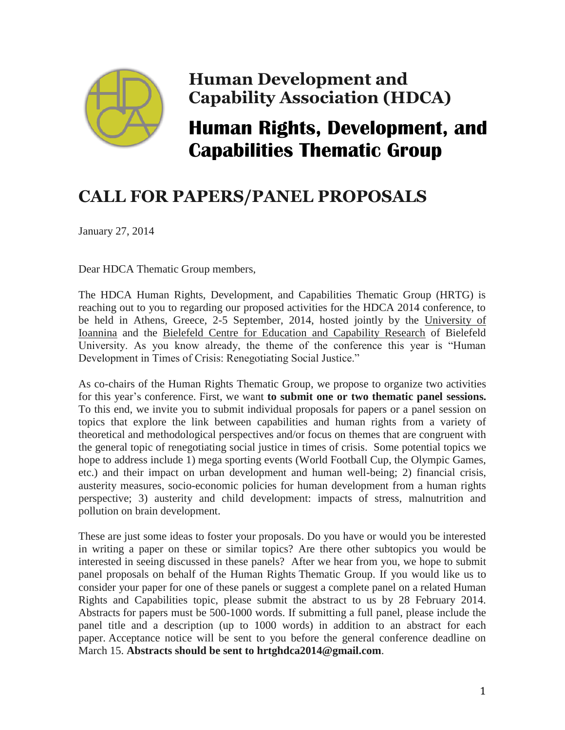

## **Human Development and Capability Association (HDCA)**

## **Human Rights, Development, and Capabilities Thematic Group**

## **CALL FOR PAPERS/PANEL PROPOSALS**

January 27, 2014

Dear HDCA Thematic Group members,

The HDCA Human Rights, Development, and Capabilities Thematic Group (HRTG) is reaching out to you to regarding our proposed activities for the HDCA 2014 conference, to be held in Athens, Greece, 2-5 September, 2014, hosted jointly by the [University of](http://www.uoi.gr/en/)  [Ioannina](http://www.uoi.gr/en/) and the [Bielefeld Centre for Education and Capability Research](http://www.bca-research.net/) of Bielefeld University. As you know already, the theme of the conference this year is "Human Development in Times of Crisis: Renegotiating Social Justice."

As co-chairs of the Human Rights Thematic Group, we propose to organize two activities for this year's conference. First, we want **to submit one or two thematic panel sessions.**  To this end, we invite you to submit individual proposals for papers or a panel session on topics that explore the link between capabilities and human rights from a variety of theoretical and methodological perspectives and/or focus on themes that are congruent with the general topic of renegotiating social justice in times of crisis. Some potential topics we hope to address include 1) mega sporting events (World Football Cup, the Olympic Games, etc.) and their impact on urban development and human well-being; 2) financial crisis, austerity measures, socio-economic policies for human development from a human rights perspective; 3) austerity and child development: impacts of stress, malnutrition and pollution on brain development.

These are just some ideas to foster your proposals. Do you have or would you be interested in writing a paper on these or similar topics? Are there other subtopics you would be interested in seeing discussed in these panels? After we hear from you, we hope to submit panel proposals on behalf of the Human Rights Thematic Group. If you would like us to consider your paper for one of these panels or suggest a complete panel on a related Human Rights and Capabilities topic, please submit the abstract to us by 28 February 2014. Abstracts for papers must be 500-1000 words. If submitting a full panel, please include the panel title and a description (up to 1000 words) in addition to an abstract for each paper. Acceptance notice will be sent to you before the general conference deadline on March 15. **Abstracts should be sent to hrtghdca2014@gmail.com**.